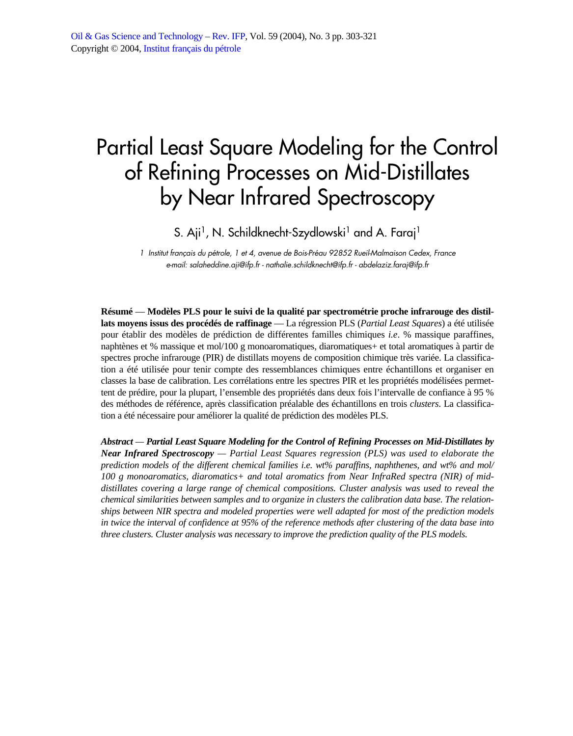# Partial Least Square Modeling for the Control of Refining Processes on Mid-Distillates by Near Infrared Spectroscopy

S. Aji<sup>1</sup>, N. Schildknecht-Szydlowski<sup>1</sup> and A. Faraj<sup>1</sup>

*1 Institut français du pétrole, 1 et 4, avenue de Bois-Préau 92852 Rueil-Malmaison Cedex, France e-mail: salaheddine.aji@ifp.fr - nathalie.schildknecht@ifp.fr - abdelaziz.faraj@ifp.fr*

**Résumé** — **Modèles PLS pour le suivi de la qualité par spectrométrie proche infrarouge des distillats moyens issus des procédés de raffinage** — La régression PLS (*Partial Least Squares*) a été utilisée pour établir des modèles de prédiction de différentes familles chimiques *i.e*. % massique paraffines, naphtènes et % massique et mol/100 g monoaromatiques, diaromatiques+ et total aromatiques à partir de spectres proche infrarouge (PIR) de distillats moyens de composition chimique très variée. La classification a été utilisée pour tenir compte des ressemblances chimiques entre échantillons et organiser en classes la base de calibration. Les corrélations entre les spectres PIR et les propriétés modélisées permettent de prédire, pour la plupart, l'ensemble des propriétés dans deux fois l'intervalle de confiance à 95 % des méthodes de référence, après classification préalable des échantillons en trois *clusters*. La classification a été nécessaire pour améliorer la qualité de prédiction des modèles PLS.

*Abstract — Partial Least Square Modeling for the Control of Refining Processes on Mid-Distillates by Near Infrared Spectroscopy — Partial Least Squares regression (PLS) was used to elaborate the prediction models of the different chemical families i.e. wt% paraffins, naphthenes, and wt% and mol/ 100 g monoaromatics, diaromatics+ and total aromatics from Near InfraRed spectra (NIR) of middistillates covering a large range of chemical compositions. Cluster analysis was used to reveal the chemical similarities between samples and to organize in clusters the calibration data base. The relationships between NIR spectra and modeled properties were well adapted for most of the prediction models in twice the interval of confidence at 95% of the reference methods after clustering of the data base into three clusters. Cluster analysis was necessary to improve the prediction quality of the PLS models.*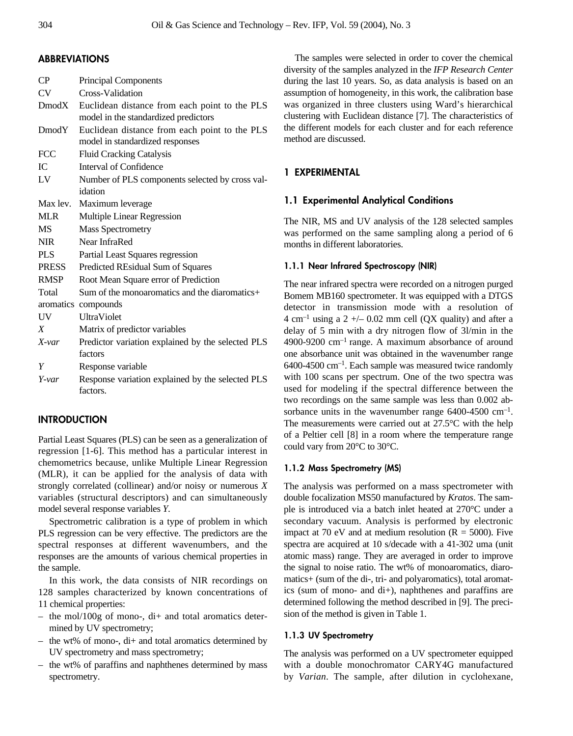# **ABBREVIATIONS**

| CP           | <b>Principal Components</b>                                                           |
|--------------|---------------------------------------------------------------------------------------|
| CV           | Cross-Validation                                                                      |
| DmodX        | Euclidean distance from each point to the PLS<br>model in the standardized predictors |
| DmodY        | Euclidean distance from each point to the PLS<br>model in standardized responses      |
| <b>FCC</b>   | <b>Fluid Cracking Catalysis</b>                                                       |
| IC.          | Interval of Confidence                                                                |
| LV           | Number of PLS components selected by cross val-<br>idation                            |
| Max lev.     | Maximum leverage                                                                      |
| <b>MLR</b>   | Multiple Linear Regression                                                            |
| <b>MS</b>    | <b>Mass Spectrometry</b>                                                              |
| NIR -        | Near InfraRed                                                                         |
| <b>PLS</b>   | Partial Least Squares regression                                                      |
| <b>PRESS</b> | Predicted REsidual Sum of Squares                                                     |
| <b>RMSP</b>  | Root Mean Square error of Prediction                                                  |
| Total        | Sum of the monoaromatics and the diaromatics+                                         |
|              | aromatics compounds                                                                   |
| <b>UV</b>    | <b>UltraViolet</b>                                                                    |
| X            | Matrix of predictor variables                                                         |
| $X$ -var     | Predictor variation explained by the selected PLS                                     |
|              | factors                                                                               |
| Y            | Response variable                                                                     |
| $Y$ -var     | Response variation explained by the selected PLS<br>factors                           |

## **INTRODUCTION**

Partial Least Squares (PLS) can be seen as a generalization of regression [1-6]. This method has a particular interest in chemometrics because, unlike Multiple Linear Regression (MLR), it can be applied for the analysis of data with strongly correlated (collinear) and/or noisy or numerous *X* variables (structural descriptors) and can simultaneously model several response variables *Y*.

Spectrometric calibration is a type of problem in which PLS regression can be very effective. The predictors are the spectral responses at different wavenumbers, and the responses are the amounts of various chemical properties in the sample.

In this work, the data consists of NIR recordings on 128 samples characterized by known concentrations of 11 chemical properties:

- the mol/100g of mono-, di+ and total aromatics determined by UV spectrometry;
- the wt% of mono-, di+ and total aromatics determined by UV spectrometry and mass spectrometry;
- the wt% of paraffins and naphthenes determined by mass spectrometry.

The samples were selected in order to cover the chemical diversity of the samples analyzed in the *IFP Research Center* during the last 10 years. So, as data analysis is based on an assumption of homogeneity, in this work, the calibration base was organized in three clusters using Ward's hierarchical clustering with Euclidean distance [7]. The characteristics of the different models for each cluster and for each reference method are discussed.

# **1 EXPERIMENTAL**

## **1.1 Experimental Analytical Conditions**

The NIR, MS and UV analysis of the 128 selected samples was performed on the same sampling along a period of 6 months in different laboratories.

## **1.1.1 Near Infrared Spectroscopy (NIR)**

The near infrared spectra were recorded on a nitrogen purged Bomem MB160 spectrometer. It was equipped with a DTGS detector in transmission mode with a resolution of 4 cm<sup>-1</sup> using a 2 +/- 0.02 mm cell (QX quality) and after a delay of 5 min with a dry nitrogen flow of 3l/min in the 4900-9200 cm–1 range. A maximum absorbance of around one absorbance unit was obtained in the wavenumber range  $6400-4500$  cm<sup>-1</sup>. Each sample was measured twice randomly with 100 scans per spectrum. One of the two spectra was used for modeling if the spectral difference between the two recordings on the same sample was less than 0.002 absorbance units in the wavenumber range  $6400-4500$  cm<sup>-1</sup>. The measurements were carried out at 27.5°C with the help of a Peltier cell [8] in a room where the temperature range could vary from 20°C to 30°C.

## **1.1.2 Mass Spectrometry (MS)**

The analysis was performed on a mass spectrometer with double focalization MS50 manufactured by *Kratos*. The sample is introduced via a batch inlet heated at 270°C under a secondary vacuum. Analysis is performed by electronic impact at 70 eV and at medium resolution  $(R = 5000)$ . Five spectra are acquired at 10 s/decade with a 41-302 uma (unit atomic mass) range. They are averaged in order to improve the signal to noise ratio. The wt% of monoaromatics, diaromatics+ (sum of the di-, tri- and polyaromatics), total aromatics (sum of mono- and di+), naphthenes and paraffins are determined following the method described in [9]. The precision of the method is given in Table 1.

#### **1.1.3 UV Spectrometry**

The analysis was performed on a UV spectrometer equipped with a double monochromator CARY4G manufactured by *Varian*. The sample, after dilution in cyclohexane,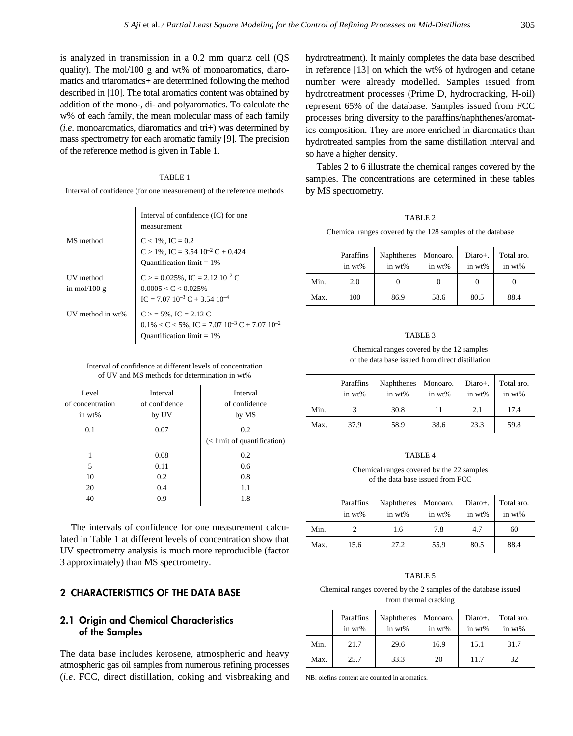is analyzed in transmission in a 0.2 mm quartz cell (QS quality). The mol/100 g and wt% of monoaromatics, diaromatics and triaromatics+ are determined following the method described in [10]. The total aromatics content was obtained by addition of the mono-, di- and polyaromatics. To calculate the w% of each family, the mean molecular mass of each family (*i.e*. monoaromatics, diaromatics and tri+) was determined by mass spectrometry for each aromatic family [9]. The precision of the reference method is given in Table 1.

#### TABLE 1

Interval of confidence (for one measurement) of the reference methods

|                                   | Interval of confidence (IC) for one<br>measurement                                                                    |
|-----------------------------------|-----------------------------------------------------------------------------------------------------------------------|
| MS method                         | $C < 1\%$ , $IC = 0.2$<br>$C > 1\%$ , IC = 3.54 $10^{-2}$ C + 0.424<br>Quantification $limit = 1\%$                   |
| <b>IJV</b> method<br>in mol/100 g | $C > 0.025\%$ , IC = 2.12 10 <sup>-2</sup> C<br>$0.0005 < C < 0.025\%$<br>$IC = 7.07 10^{-3} C + 3.54 10^{-4}$        |
| IIV method in wt%                 | $C > 5\%$ , IC = 2.12 C<br>$0.1\% < C < 5\%$ , IC = 7.07 $10^{-3}$ C + 7.07 $10^{-2}$<br>Quantification $limit = 1\%$ |

Interval of confidence at different levels of concentration of UV and MS methods for determination in wt%

| Level<br>of concentration<br>in wt% | Interval<br>of confidence<br>by UV | Interval<br>of confidence<br>by MS |  |  |  |  |
|-------------------------------------|------------------------------------|------------------------------------|--|--|--|--|
| 0.1                                 | 0.07                               | 0.2                                |  |  |  |  |
|                                     |                                    | (< limit of quantification)        |  |  |  |  |
| 1                                   | 0.08                               | 0.2                                |  |  |  |  |
| 5                                   | 0.11                               | 0.6                                |  |  |  |  |
| 10                                  | 0.2                                | 0.8                                |  |  |  |  |
| 20                                  | 0.4                                | 1.1                                |  |  |  |  |
| 40                                  | 0.9                                | 1.8                                |  |  |  |  |

The intervals of confidence for one measurement calculated in Table 1 at different levels of concentration show that UV spectrometry analysis is much more reproducible (factor 3 approximately) than MS spectrometry.

# **2 CHARACTERISTTICS OF THE DATA BASE**

## **2.1 Origin and Chemical Characteristics of the Samples**

The data base includes kerosene, atmospheric and heavy atmospheric gas oil samples from numerous refining processes (*i.e*. FCC, direct distillation, coking and visbreaking and hydrotreatment). It mainly completes the data base described in reference [13] on which the wt% of hydrogen and cetane number were already modelled. Samples issued from hydrotreatment processes (Prime D, hydrocracking, H-oil) represent 65% of the database. Samples issued from FCC processes bring diversity to the paraffins/naphthenes/aromatics composition. They are more enriched in diaromatics than hydrotreated samples from the same distillation interval and so have a higher density.

Tables 2 to 6 illustrate the chemical ranges covered by the samples. The concentrations are determined in these tables by MS spectrometry.

#### TABLE 2

Chemical ranges covered by the 128 samples of the database

|      | Paraffins<br>in wt% | Naphthenes<br>in wt% | Monoaro.<br>in wt% | Diaro+.<br>in wt% | Total aro.<br>in wt% |
|------|---------------------|----------------------|--------------------|-------------------|----------------------|
| Min. | 2.0                 |                      |                    |                   |                      |
| Max. | 100                 | 86.9                 | 58.6               | 80.5              | 88.4                 |

#### TABLE 3

Chemical ranges covered by the 12 samples of the data base issued from direct distillation

|      | Paraffins<br>in wt% | Naphthenes<br>in wt% | Monoaro.<br>in wt% | Diaro+.<br>in wt% | Total aro.<br>in wt% |
|------|---------------------|----------------------|--------------------|-------------------|----------------------|
| Min. |                     | 30.8                 | 11                 | 2.1               | 17.4                 |
| Max. | 37.9                | 58.9                 | 38.6               | 23.3              | 59.8                 |

#### TABLE 4

Chemical ranges covered by the 22 samples of the data base issued from FCC

|      | Paraffins<br>in wt% | Naphthenes<br>in wt% | Monoaro.<br>in wt% | Diaro+.<br>in wt% | Total aro.<br>in wt% |
|------|---------------------|----------------------|--------------------|-------------------|----------------------|
| Min. |                     | 1.6                  | 7.8                | 4.7               | 60                   |
| Max. | 15.6                | 27.2                 | 55.9               | 80.5              | 88.4                 |

#### TABLE 5

#### Chemical ranges covered by the 2 samples of the database issued from thermal cracking

|      | Paraffins<br>in wt% | Naphthenes   Monoaro.<br>in wt% | in wt% | Diaro+.<br>in wt% | Total aro.<br>in wt% |
|------|---------------------|---------------------------------|--------|-------------------|----------------------|
| Min. | 21.7                | 29.6                            | 16.9   | 15.1              | 31.7                 |
| Max. | 25.7                | 33.3                            | 20     | 11.7              | 32                   |

NB: olefins content are counted in aromatics.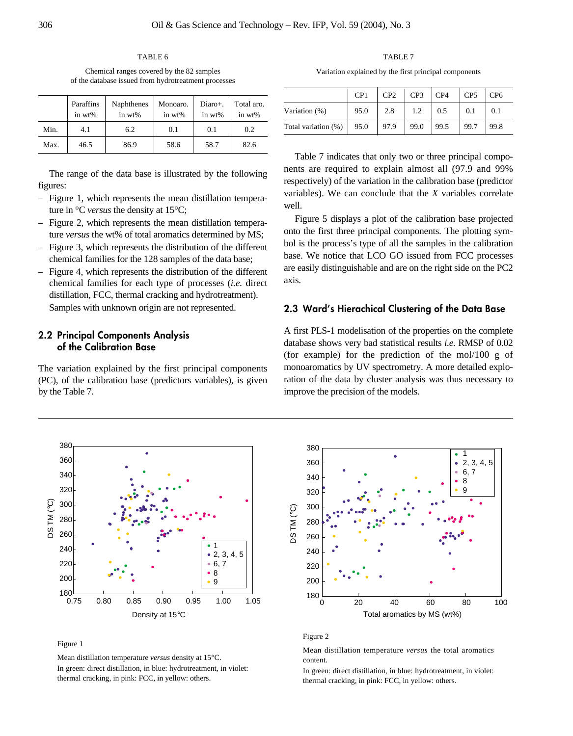TABLE 6

306

Chemical ranges covered by the 82 samples of the database issued from hydrotreatment processes

|      | Paraffins<br>in wt% | Naphthenes<br>in wt% | Monoaro.<br>in wt% | Diaro+.<br>in wt% | Total aro.<br>in wt% |  |  |
|------|---------------------|----------------------|--------------------|-------------------|----------------------|--|--|
| Min. | 4.1                 | 6.2                  | 0.1                | 0.1               | 0.2                  |  |  |
| Max. | 46.5                | 86.9                 | 58.6               | 58.7              | 82.6                 |  |  |

The range of the data base is illustrated by the following figures:

- Figure 1, which represents the mean distillation temperature in °C *versus* the density at 15°C;
- Figure 2, which represents the mean distillation temperature *versus* the wt% of total aromatics determined by MS;
- Figure 3, which represents the distribution of the different chemical families for the 128 samples of the data base;
- Figure 4, which represents the distribution of the different chemical families for each type of processes (*i.e.* direct distillation, FCC, thermal cracking and hydrotreatment). Samples with unknown origin are not represented.

## **2.2 Principal Components Analysis of the Calibration Base**

The variation explained by the first principal components (PC), of the calibration base (predictors variables), is given by the Table 7.

TABLE 7

Variation explained by the first principal components

|                     | CP1  | CP2  | CP3  | CP4  | CP <sub>5</sub> | CP <sub>6</sub> |
|---------------------|------|------|------|------|-----------------|-----------------|
| Variation (%)       | 95.0 | 2.8  | 1.2  | 0.5  | 0.1             | 0.1             |
| Total variation (%) | 95.0 | 97.9 | 99.0 | 99.5 | 99.7            | 99.8            |

Table 7 indicates that only two or three principal components are required to explain almost all (97.9 and 99% respectively) of the variation in the calibration base (predictor variables). We can conclude that the *X* variables correlate well.

Figure 5 displays a plot of the calibration base projected onto the first three principal components. The plotting symbol is the process's type of all the samples in the calibration base. We notice that LCO GO issued from FCC processes are easily distinguishable and are on the right side on the PC2 axis.

## **2.3 Ward's Hierachical Clustering of the Data Base**

A first PLS-1 modelisation of the properties on the complete database shows very bad statistical results *i.e.* RMSP of 0.02 (for example) for the prediction of the mol/100 g of monoaromatics by UV spectrometry. A more detailed exploration of the data by cluster analysis was thus necessary to improve the precision of the models.



Figure 1

Mean distillation temperature *versus* density at 15°C. In green: direct distillation, in blue: hydrotreatment, in violet: thermal cracking, in pink: FCC, in yellow: others.



#### Figure 2

Mean distillation temperature *versus* the total aromatics content.

In green: direct distillation, in blue: hydrotreatment, in violet: thermal cracking, in pink: FCC, in yellow: others.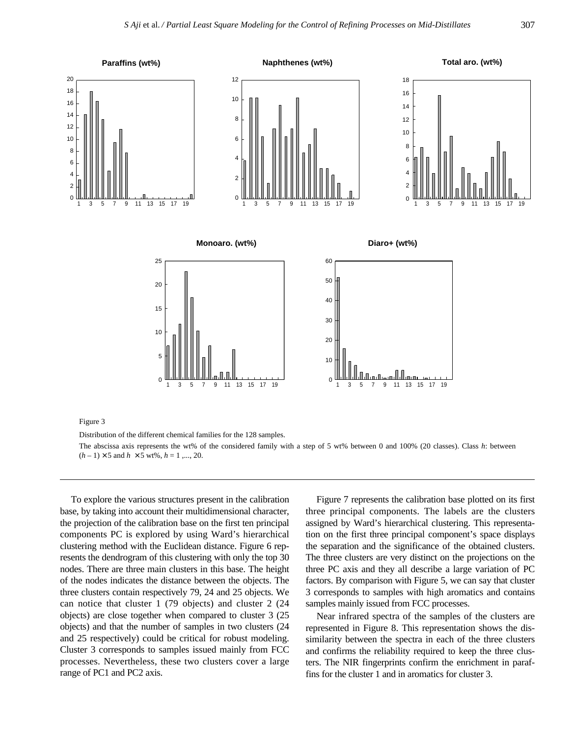

Figure 3

Distribution of the different chemical families for the 128 samples.

The abscissa axis represents the wt% of the considered family with a step of 5 wt% between 0 and 100% (20 classes). Class *h*: between  $(h-1) \times 5$  and  $h \times 5$  wt%,  $h = 1$ ,..., 20.

To explore the various structures present in the calibration base, by taking into account their multidimensional character, the projection of the calibration base on the first ten principal components PC is explored by using Ward's hierarchical clustering method with the Euclidean distance. Figure 6 represents the dendrogram of this clustering with only the top 30 nodes. There are three main clusters in this base. The height of the nodes indicates the distance between the objects. The three clusters contain respectively 79, 24 and 25 objects. We can notice that cluster 1 (79 objects) and cluster 2 (24 objects) are close together when compared to cluster 3 (25 objects) and that the number of samples in two clusters (24 and 25 respectively) could be critical for robust modeling. Cluster 3 corresponds to samples issued mainly from FCC processes. Nevertheless, these two clusters cover a large range of PC1 and PC2 axis.

Figure 7 represents the calibration base plotted on its first three principal components. The labels are the clusters assigned by Ward's hierarchical clustering. This representation on the first three principal component's space displays the separation and the significance of the obtained clusters. The three clusters are very distinct on the projections on the three PC axis and they all describe a large variation of PC factors. By comparison with Figure 5, we can say that cluster 3 corresponds to samples with high aromatics and contains samples mainly issued from FCC processes.

Near infrared spectra of the samples of the clusters are represented in Figure 8. This representation shows the dissimilarity between the spectra in each of the three clusters and confirms the reliability required to keep the three clusters. The NIR fingerprints confirm the enrichment in paraffins for the cluster 1 and in aromatics for cluster 3.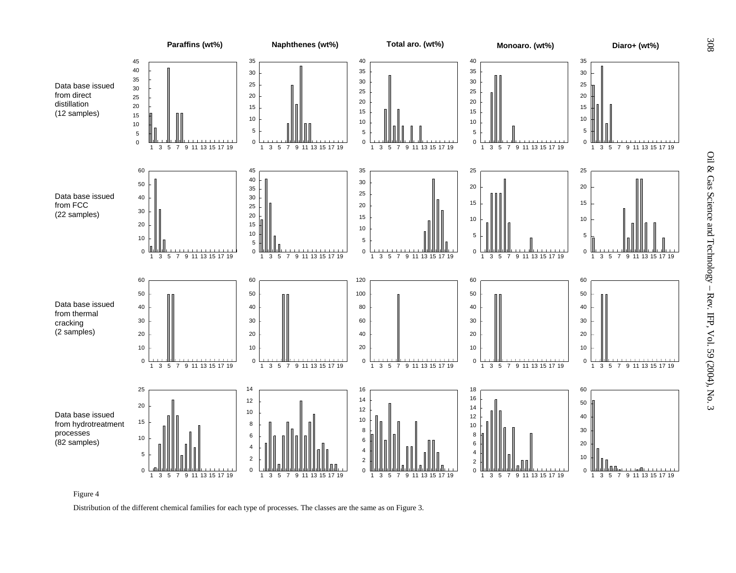

Figure 4

Distribution of the different chemical families for each type of processes. The classes are the same as on Figure 3.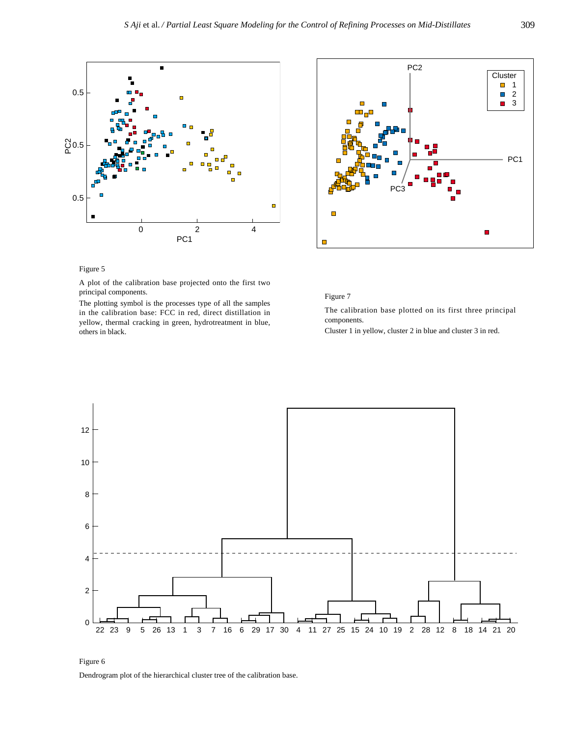



## Figure 5

A plot of the calibration base projected onto the first two principal components.

The plotting symbol is the processes type of all the samples in the calibration base: FCC in red, direct distillation in yellow, thermal cracking in green, hydrotreatment in blue, others in black.



The calibration base plotted on its first three principal components.

Cluster 1 in yellow, cluster 2 in blue and cluster 3 in red.





Dendrogram plot of the hierarchical cluster tree of the calibration base.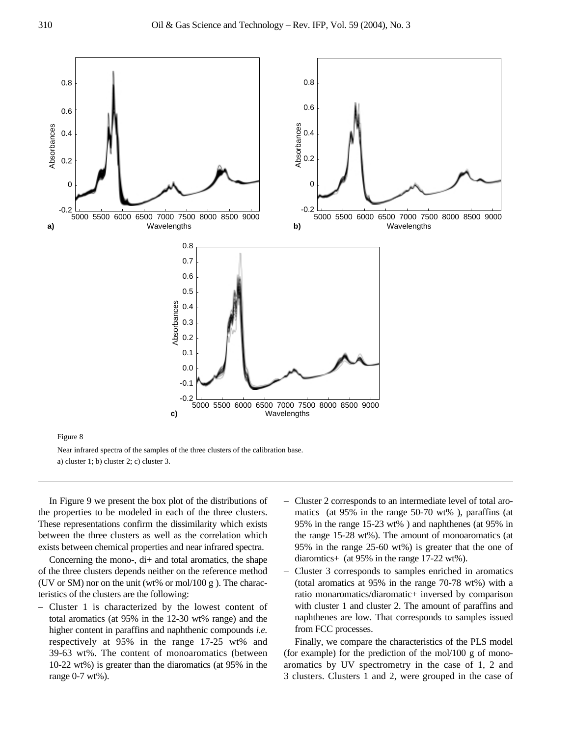

a) cluster 1; b) cluster 2; c) cluster 3.

In Figure 9 we present the box plot of the distributions of the properties to be modeled in each of the three clusters. These representations confirm the dissimilarity which exists between the three clusters as well as the correlation which exists between chemical properties and near infrared spectra.

Concerning the mono-, di+ and total aromatics, the shape of the three clusters depends neither on the reference method (UV or SM) nor on the unit (wt% or mol/100 g). The characteristics of the clusters are the following:

- Cluster 1 is characterized by the lowest content of total aromatics (at 95% in the 12-30 wt% range) and the higher content in paraffins and naphthenic compounds *i.e.* respectively at 95% in the range 17-25 wt% and 39-63 wt%. The content of monoaromatics (between 10-22 wt%) is greater than the diaromatics (at 95% in the range 0-7 wt%).
- Cluster 2 corresponds to an intermediate level of total aromatics (at 95% in the range 50-70 wt% ), paraffins (at 95% in the range 15-23 wt% ) and naphthenes (at 95% in the range 15-28 wt%). The amount of monoaromatics (at 95% in the range 25-60 wt%) is greater that the one of diaromtics+ (at 95% in the range 17-22 wt%).
- Cluster 3 corresponds to samples enriched in aromatics (total aromatics at 95% in the range 70-78 wt%) with a ratio monaromatics/diaromatic+ inversed by comparison with cluster 1 and cluster 2. The amount of paraffins and naphthenes are low. That corresponds to samples issued from FCC processes.

Finally, we compare the characteristics of the PLS model (for example) for the prediction of the mol/100 g of monoaromatics by UV spectrometry in the case of 1, 2 and 3 clusters. Clusters 1 and 2, were grouped in the case of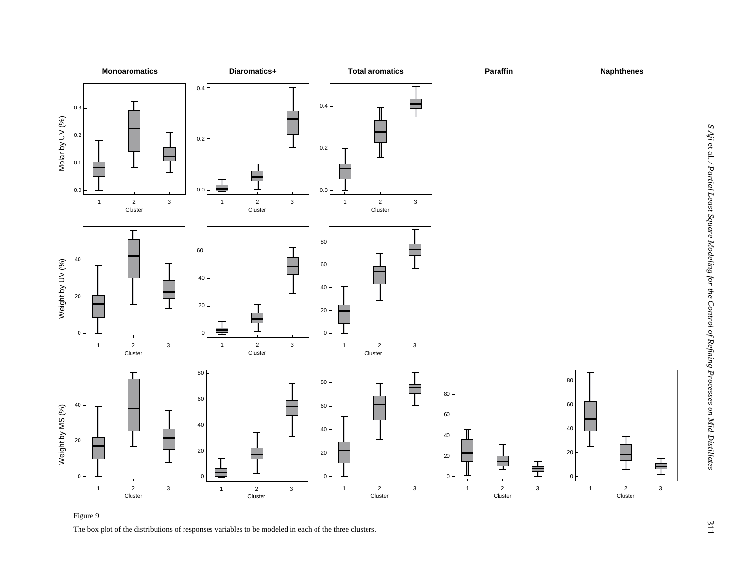



The box plot of the distributions of responses variables to be modeled in each of the three clusters.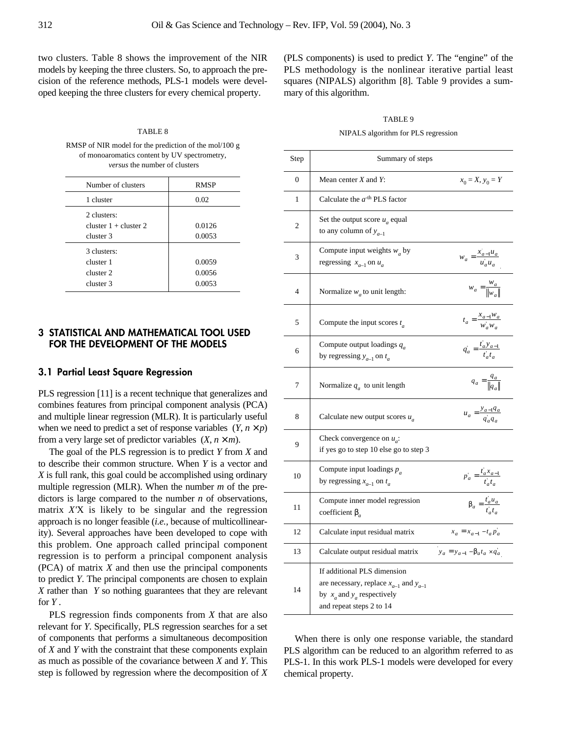two clusters. Table 8 shows the improvement of the NIR models by keeping the three clusters. So, to approach the precision of the reference methods, PLS-1 models were developed keeping the three clusters for every chemical property.

## TABLE 8 RMSP of NIR model for the prediction of the mol/100 g of monoaromatics content by UV spectrometry, *versus* the number of clusters

| <b>RMSP</b>                |
|----------------------------|
| 0.02                       |
| 0.0126<br>0.0053           |
| 0.0059<br>0.0056<br>0.0053 |
|                            |

# **3 STATISTICAL AND MATHEMATICAL TOOL USED FOR THE DEVELOPMENT OF THE MODELS**

# **3.1 Partial Least Square Regression**

PLS regression [11] is a recent technique that generalizes and combines features from principal component analysis (PCA) and multiple linear regression (MLR). It is particularly useful when we need to predict a set of response variables  $(Y, n \times p)$ from a very large set of predictor variables  $(X, n \times m)$ .

The goal of the PLS regression is to predict *Y* from *X* and to describe their common structure. When *Y* is a vector and *X* is full rank, this goal could be accomplished using ordinary multiple regression (MLR). When the number *m* of the predictors is large compared to the number *n* of observations, matrix *X'*X is likely to be singular and the regression approach is no longer feasible (*i.e.,* because of multicollinearity). Several approaches have been developed to cope with this problem. One approach called principal component regression is to perform a principal component analysis (PCA) of matrix *X* and then use the principal components to predict *Y*. The principal components are chosen to explain *X* rather than *Y* so nothing guarantees that they are relevant for *Y* .

PLS regression finds components from *X* that are also relevant for *Y*. Specifically, PLS regression searches for a set of components that performs a simultaneous decomposition of *X* and *Y* with the constraint that these components explain as much as possible of the covariance between *X* and *Y*. This step is followed by regression where the decomposition of *X*

(PLS components) is used to predict *Y*. The "engine" of the PLS methodology is the nonlinear iterative partial least squares (NIPALS) algorithm [8]. Table 9 provides a summary of this algorithm.

TABLE 9

NIPALS algorithm for PLS regression

| Step | Summary of steps                                                                                                                             |                                           |
|------|----------------------------------------------------------------------------------------------------------------------------------------------|-------------------------------------------|
| 0    | Mean center $X$ and $Y$ :                                                                                                                    | $x_0 = X, y_0 = Y$                        |
| 1    | Calculate the $a$ <sup>-th</sup> PLS factor                                                                                                  |                                           |
| 2    | Set the output score $u_a$ equal<br>to any column of $y_{a-1}$                                                                               |                                           |
| 3    | Compute input weights $w_a$ by<br>regressing $x_{a-1}$ on $u_a$                                                                              | $w_a = \frac{x_{a-1} u_a}{u_a u_a}$       |
| 4    | Normalize $w_a$ to unit length:                                                                                                              | $w_a = \frac{w_a}{\ w_a\ }$               |
| 5    | Compute the input scores $t_a$                                                                                                               | $t_a = \frac{x_{a-1}w_a}{w_a^v w_a}$      |
| 6    | Compute output loadings $q_a$<br>by regressing $y_{a-1}$ on $t_a$                                                                            | $q_a = \frac{t_a y_{a-1}}{t_a t_a}$       |
| 7    | Normalize $q_a$ to unit length                                                                                                               | $q_a = \frac{q_a}{\ q_a\ }$               |
| 8    | Calculate new output scores $u_a$                                                                                                            | $u_a = \frac{y_{a-1}q_a}{q_a q_a}$        |
| 9    | Check convergence on $u_a$ :<br>if yes go to step 10 else go to step 3                                                                       |                                           |
| 10   | Compute input loadings $p_a$<br>by regressing $x_{a-1}$ on $t_a$                                                                             | $p'_a = \frac{t_a x_{a-1}}{t_a t_a}$      |
| 11   | Compute inner model regression<br>coefficient $\beta_a$                                                                                      | $\beta_a = \frac{t_a u_a}{t_a t_a}$       |
| 12   | Calculate input residual matrix                                                                                                              | $x_a = x_{a-1} - t_a p_a$                 |
| 13   | Calculate output residual matrix                                                                                                             | $y_a = y_{a-1} - \beta_a t_a \times q'_a$ |
| 14   | If additional PLS dimension<br>are necessary, replace $x_{a-1}$ and $y_{a-1}$<br>by $x_a$ and $y_a$ respectively<br>and repeat steps 2 to 14 |                                           |

When there is only one response variable, the standard PLS algorithm can be reduced to an algorithm referred to as PLS-1. In this work PLS-1 models were developed for every chemical property.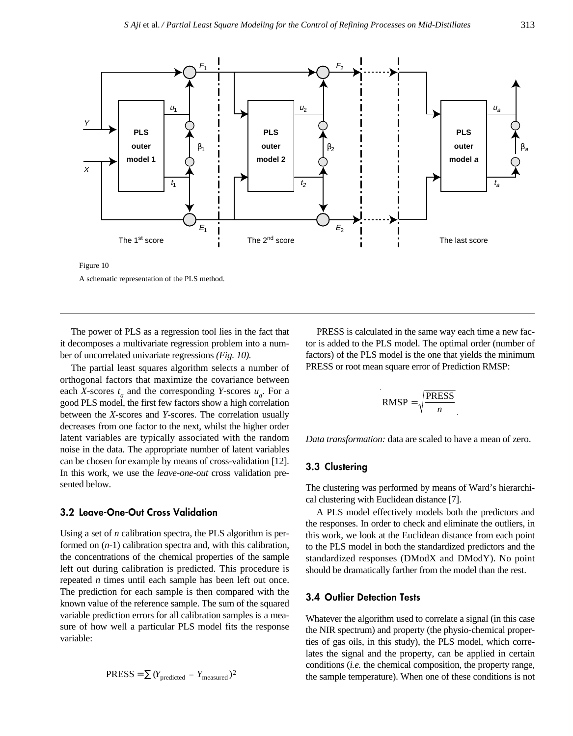



A schematic representation of the PLS method.

The power of PLS as a regression tool lies in the fact that it decomposes a multivariate regression problem into a number of uncorrelated univariate regressions *(Fig. 10).*

The partial least squares algorithm selects a number of orthogonal factors that maximize the covariance between each *X*-scores  $t_a$  and the corresponding *Y*-scores  $u_a$ . For a good PLS model, the first few factors show a high correlation between the *X*-scores and *Y*-scores. The correlation usually decreases from one factor to the next, whilst the higher order latent variables are typically associated with the random noise in the data. The appropriate number of latent variables can be chosen for example by means of cross-validation [12]. In this work, we use the *leave-one-out* cross validation presented below.

## **3.2 Leave-One-Out Cross Validation**

Using a set of *n* calibration spectra, the PLS algorithm is performed on (*n*-1) calibration spectra and, with this calibration, the concentrations of the chemical properties of the sample left out during calibration is predicted. This procedure is repeated *n* times until each sample has been left out once. The prediction for each sample is then compared with the known value of the reference sample. The sum of the squared variable prediction errors for all calibration samples is a measure of how well a particular PLS model fits the response variable:

$$
PRESS = \sum (Y_{predicted} - Y_{measured})^2
$$

PRESS is calculated in the same way each time a new factor is added to the PLS model. The optimal order (number of factors) of the PLS model is the one that yields the minimum PRESS or root mean square error of Prediction RMSP:

$$
RMSP = \sqrt{\frac{PRESS}{n}}
$$

*Data transformation:* data are scaled to have a mean of zero.

# **3.3 Clustering**

The clustering was performed by means of Ward's hierarchical clustering with Euclidean distance [7].

A PLS model effectively models both the predictors and the responses. In order to check and eliminate the outliers, in this work, we look at the Euclidean distance from each point to the PLS model in both the standardized predictors and the standardized responses (DModX and DModY). No point should be dramatically farther from the model than the rest.

# **3.4 Outlier Detection Tests**

Whatever the algorithm used to correlate a signal (in this case the NIR spectrum) and property (the physio-chemical properties of gas oils, in this study), the PLS model, which correlates the signal and the property, can be applied in certain conditions (*i.e.* the chemical composition, the property range, the sample temperature). When one of these conditions is not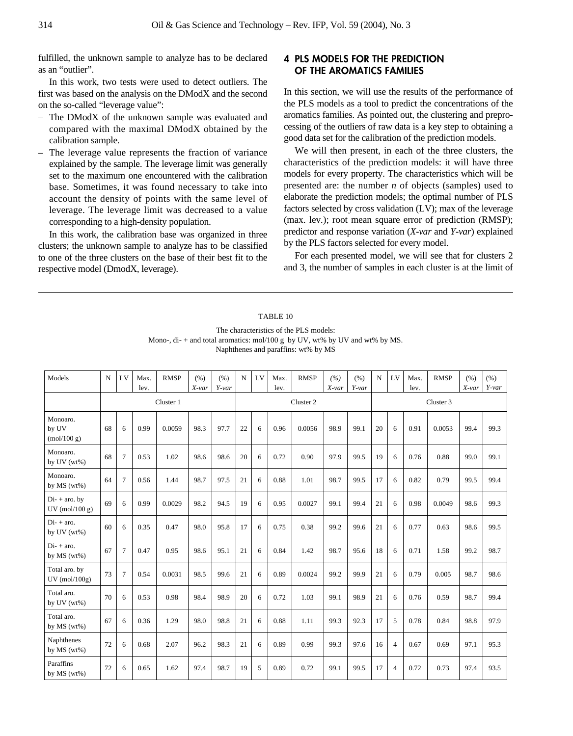fulfilled, the unknown sample to analyze has to be declared as an "outlier".

In this work, two tests were used to detect outliers. The first was based on the analysis on the DModX and the second on the so-called "leverage value":

- The DModX of the unknown sample was evaluated and compared with the maximal DModX obtained by the calibration sample.
- The leverage value represents the fraction of variance explained by the sample. The leverage limit was generally set to the maximum one encountered with the calibration base. Sometimes, it was found necessary to take into account the density of points with the same level of leverage. The leverage limit was decreased to a value corresponding to a high-density population.

In this work, the calibration base was organized in three clusters; the unknown sample to analyze has to be classified to one of the three clusters on the base of their best fit to the respective model (DmodX, leverage).

# **4 PLS MODELS FOR THE PREDICTION OF THE AROMATICS FAMILIES**

In this section, we will use the results of the performance of the PLS models as a tool to predict the concentrations of the aromatics families. As pointed out, the clustering and preprocessing of the outliers of raw data is a key step to obtaining a good data set for the calibration of the prediction models.

We will then present, in each of the three clusters, the characteristics of the prediction models: it will have three models for every property. The characteristics which will be presented are: the number *n* of objects (samples) used to elaborate the prediction models; the optimal number of PLS factors selected by cross validation (LV); max of the leverage (max. lev*.*); root mean square error of prediction (RMSP); predictor and response variation (*X-var* and *Y-var*) explained by the PLS factors selected for every model.

For each presented model, we will see that for clusters 2 and 3, the number of samples in each cluster is at the limit of

|                                      |             |                |              | Mono-, di- + and total aromatics: mol/100 g by UV, wt% by UV and wt% by MS. |               |                  |    |    |              | The characteristics of the PLS models:<br>Naphthenes and paraffins: wt% by MS |                 |                  |             |                |              |             |               |                  |
|--------------------------------------|-------------|----------------|--------------|-----------------------------------------------------------------------------|---------------|------------------|----|----|--------------|-------------------------------------------------------------------------------|-----------------|------------------|-------------|----------------|--------------|-------------|---------------|------------------|
| Models                               | $\mathbf N$ | LV             | Max.<br>lev. | <b>RMSP</b>                                                                 | (% )<br>X-var | (% )<br>$Y$ -var | N  | LV | Max.<br>lev. | <b>RMSP</b>                                                                   | (%)<br>$X$ -var | (% )<br>$Y$ -var | $\mathbf N$ | LV             | Max.<br>lev. | <b>RMSP</b> | (% )<br>X-var | (% )<br>$Y$ -var |
|                                      |             |                |              | Cluster 1                                                                   |               |                  |    |    |              | Cluster 2                                                                     |                 |                  |             |                |              | Cluster 3   |               |                  |
| Monoaro.<br>by UV<br>(mol/100 g)     | 68          | 6              | 0.99         | 0.0059                                                                      | 98.3          | 97.7             | 22 | 6  | 0.96         | 0.0056                                                                        | 98.9            | 99.1             | 20          | 6              | 0.91         | 0.0053      | 99.4          | 99.3             |
| Monoaro.<br>by UV (wt%)              | 68          | $\tau$         | 0.53         | 1.02                                                                        | 98.6          | 98.6             | 20 | 6  | 0.72         | 0.90                                                                          | 97.9            | 99.5             | 19          | 6              | 0.76         | 0.88        | 99.0          | 99.1             |
| Monoaro.<br>by MS (wt%)              | 64          | $\overline{7}$ | 0.56         | 1.44                                                                        | 98.7          | 97.5             | 21 | 6  | 0.88         | 1.01                                                                          | 98.7            | 99.5             | 17          | 6              | 0.82         | 0.79        | 99.5          | 99.4             |
| $Di - +$ aro. by<br>$UV$ (mol/100 g) | 69          | 6              | 0.99         | 0.0029                                                                      | 98.2          | 94.5             | 19 | 6  | 0.95         | 0.0027                                                                        | 99.1            | 99.4             | 21          | 6              | 0.98         | 0.0049      | 98.6          | 99.3             |
| $Di-+aro.$<br>by $UV(wt\%)$          | 60          | 6              | 0.35         | 0.47                                                                        | 98.0          | 95.8             | 17 | 6  | 0.75         | 0.38                                                                          | 99.2            | 99.6             | 21          | 6              | 0.77         | 0.63        | 98.6          | 99.5             |
| $Di - + aro.$<br>by MS (wt%)         | 67          | $\tau$         | 0.47         | 0.95                                                                        | 98.6          | 95.1             | 21 | 6  | 0.84         | 1.42                                                                          | 98.7            | 95.6             | 18          | 6              | 0.71         | 1.58        | 99.2          | 98.7             |
| Total aro. by<br>$UV$ (mol/100g)     | 73          | $\tau$         | 0.54         | 0.0031                                                                      | 98.5          | 99.6             | 21 | 6  | 0.89         | 0.0024                                                                        | 99.2            | 99.9             | 21          | 6              | 0.79         | 0.005       | 98.7          | 98.6             |
| Total aro.<br>by UV (wt%)            | 70          | 6              | 0.53         | 0.98                                                                        | 98.4          | 98.9             | 20 | 6  | 0.72         | 1.03                                                                          | 99.1            | 98.9             | 21          | 6              | 0.76         | 0.59        | 98.7          | 99.4             |
| Total aro.<br>by MS (wt%)            | 67          | 6              | 0.36         | 1.29                                                                        | 98.0          | 98.8             | 21 | 6  | 0.88         | 1.11                                                                          | 99.3            | 92.3             | 17          | 5              | 0.78         | 0.84        | 98.8          | 97.9             |
| Naphthenes<br>by $MS(wt\%)$          | 72          | 6              | 0.68         | 2.07                                                                        | 96.2          | 98.3             | 21 | 6  | 0.89         | 0.99                                                                          | 99.3            | 97.6             | 16          | $\overline{4}$ | 0.67         | 0.69        | 97.1          | 95.3             |
| Paraffins<br>by MS (wt%)             | 72          | 6              | 0.65         | 1.62                                                                        | 97.4          | 98.7             | 19 | 5  | 0.89         | 0.72                                                                          | 99.1            | 99.5             | 17          | $\overline{4}$ | 0.72         | 0.73        | 97.4          | 93.5             |

TABLE 10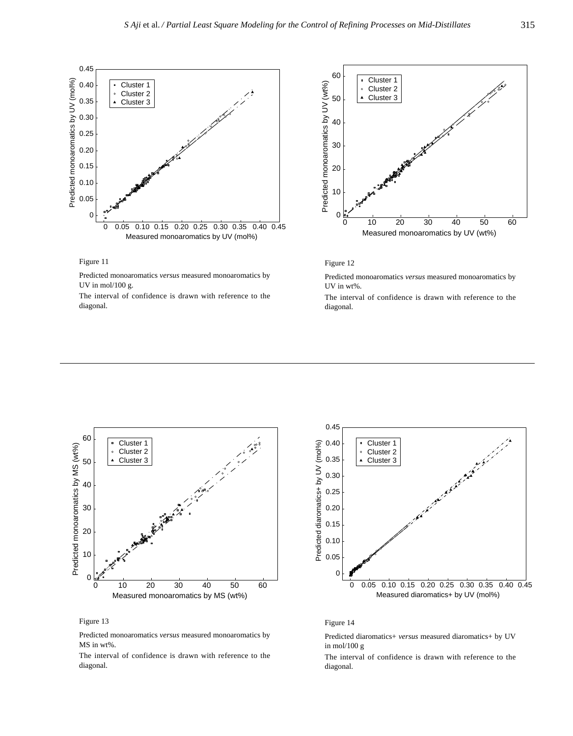

Predicted monoaromatics *versus* measured monoaromatics by

The interval of confidence is drawn with reference to the



## Figure 12

Predicted monoaromatics *versus* measured monoaromatics by UV in wt%.

The interval of confidence is drawn with reference to the diagonal.



## Figure 13

Figure 11

diagonal.

UV in mol/100 g.

Predicted monoaromatics *versus* measured monoaromatics by MS in wt%.

The interval of confidence is drawn with reference to the diagonal.



#### Figure 14

Predicted diaromatics+ *versus* measured diaromatics+ by UV in mol/100 g

The interval of confidence is drawn with reference to the diagonal.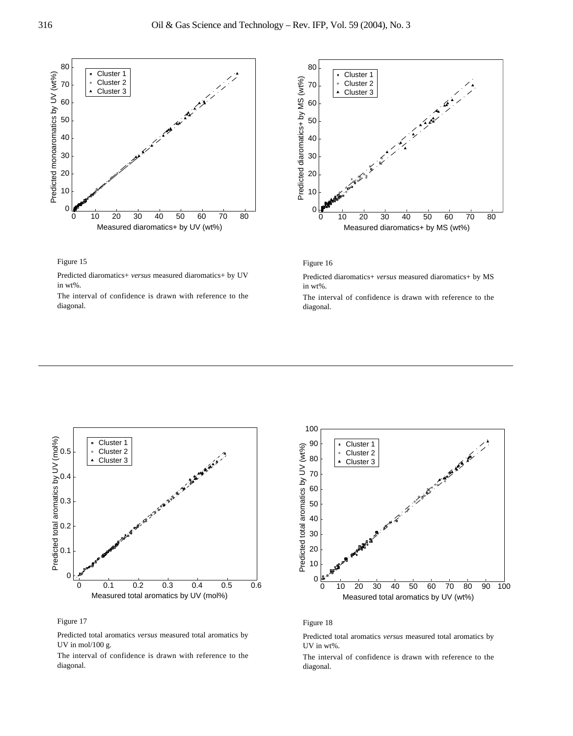



Predicted diaromatics+ *versus* measured diaromatics+ by UV in wt%.

The interval of confidence is drawn with reference to the diagonal.





Predicted diaromatics+ *versus* measured diaromatics+ by MS in wt%.

The interval of confidence is drawn with reference to the diagonal.



## Figure 17

Predicted total aromatics *versus* measured total aromatics by UV in mol/100 g.

The interval of confidence is drawn with reference to the diagonal.



#### Figure 18

Predicted total aromatics *versus* measured total aromatics by UV in wt%.

The interval of confidence is drawn with reference to the diagonal.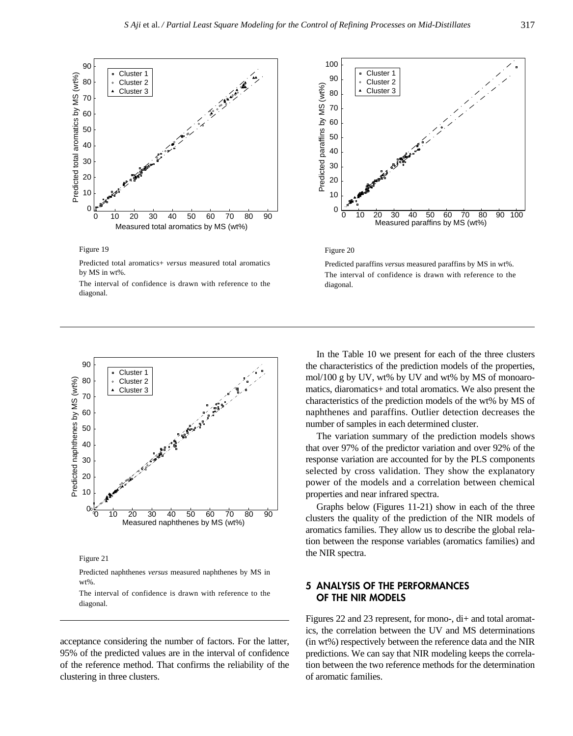

Figure 19

Predicted total aromatics+ *versus* measured total aromatics by MS in wt%.

The interval of confidence is drawn with reference to the diagonal.





Predicted paraffins *versus* measured paraffins by MS in wt%. The interval of confidence is drawn with reference to the diagonal.



Figure 21

Predicted naphthenes *versus* measured naphthenes by MS in  $wt\%$ .

The interval of confidence is drawn with reference to the diagonal.

acceptance considering the number of factors. For the latter, 95% of the predicted values are in the interval of confidence of the reference method. That confirms the reliability of the clustering in three clusters.

In the Table 10 we present for each of the three clusters the characteristics of the prediction models of the properties, mol/100 g by UV, wt% by UV and wt% by MS of monoaromatics, diaromatics+ and total aromatics. We also present the characteristics of the prediction models of the wt% by MS of naphthenes and paraffins. Outlier detection decreases the number of samples in each determined cluster.

The variation summary of the prediction models shows that over 97% of the predictor variation and over 92% of the response variation are accounted for by the PLS components selected by cross validation. They show the explanatory power of the models and a correlation between chemical properties and near infrared spectra.

Graphs below (Figures 11-21) show in each of the three clusters the quality of the prediction of the NIR models of aromatics families. They allow us to describe the global relation between the response variables (aromatics families) and the NIR spectra.

# **5 ANALYSIS OF THE PERFORMANCES OF THE NIR MODELS**

Figures 22 and 23 represent, for mono-, di+ and total aromatics, the correlation between the UV and MS determinations (in wt%) respectively between the reference data and the NIR predictions. We can say that NIR modeling keeps the correlation between the two reference methods for the determination of aromatic families.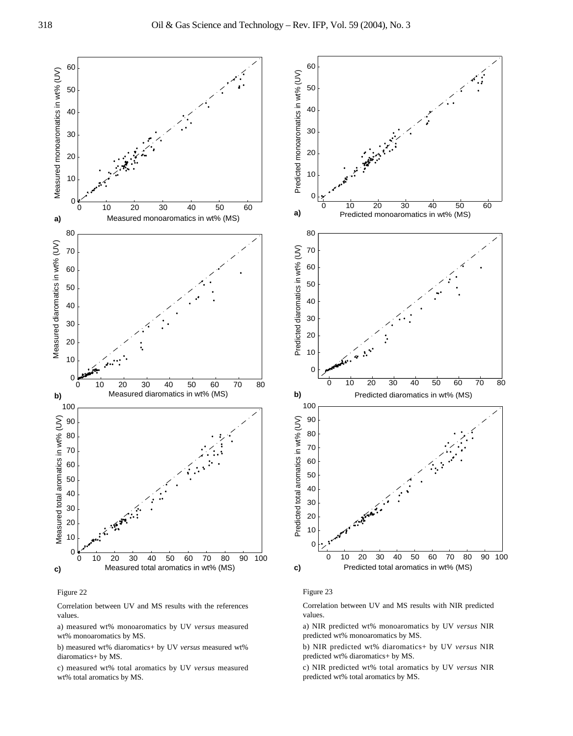

#### Figure 22

Correlation between UV and MS results with the references values.

a) measured wt% monoaromatics by UV *versus* measured wt% monoaromatics by MS.

b) measured wt% diaromatics+ by UV *versus* measured wt% diaromatics+ by MS.

c) measured wt% total aromatics by UV *versus* measured wt% total aromatics by MS.



#### Figure 23

Correlation between UV and MS results with NIR predicted values.

a) NIR predicted wt% monoaromatics by UV *versus* NIR predicted wt% monoaromatics by MS.

b) NIR predicted wt% diaromatics+ by UV *versus* NIR predicted wt% diaromatics+ by MS.

c) NIR predicted wt% total aromatics by UV *versus* NIR predicted wt% total aromatics by MS.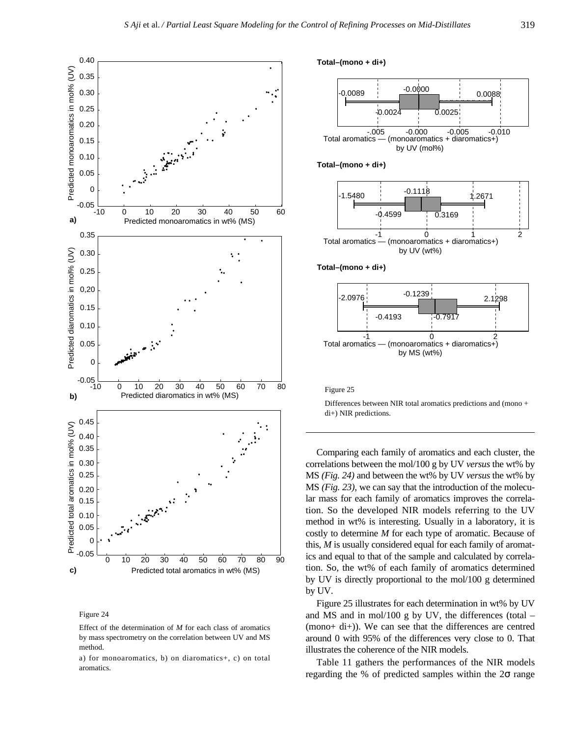



Effect of the determination of *M* for each class of aromatics by mass spectrometry on the correlation between UV and MS method.

a) for monoaromatics, b) on diaromatics+, c) on total aromatics.

**Total–(mono + di+)**







**Total–(mono + di+)**





Comparing each family of aromatics and each cluster, the correlations between the mol/100 g by UV *versus* the wt% by MS *(Fig. 24)* and between the wt% by UV *versus* the wt% by MS *(Fig. 23)*, we can say that the introduction of the molecular mass for each family of aromatics improves the correlation. So the developed NIR models referring to the UV method in wt% is interesting. Usually in a laboratory, it is costly to determine *M* for each type of aromatic. Because of this, *M* is usually considered equal for each family of aromatics and equal to that of the sample and calculated by correlation. So, the wt% of each family of aromatics determined by UV is directly proportional to the mol/100 g determined by UV.

Figure 25 illustrates for each determination in wt% by UV and MS and in mol/100 g by UV, the differences (total – (mono+ di+)). We can see that the differences are centred around 0 with 95% of the differences very close to 0. That illustrates the coherence of the NIR models.

Table 11 gathers the performances of the NIR models regarding the % of predicted samples within the  $2\sigma$  range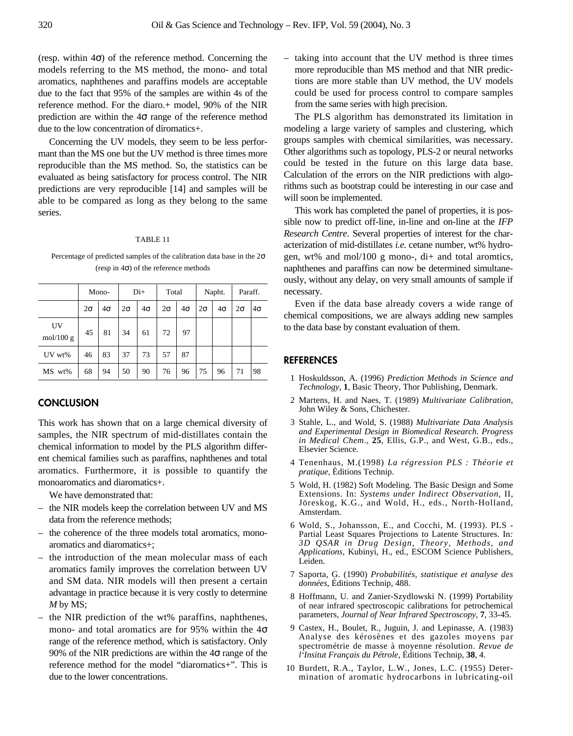(resp. within  $4\sigma$ ) of the reference method. Concerning the models referring to the MS method, the mono- and total aromatics, naphthenes and paraffins models are acceptable due to the fact that 95% of the samples are within 4s of the reference method. For the diaro.+ model, 90% of the NIR prediction are within the  $4\sigma$  range of the reference method due to the low concentration of diromatics+.

Concerning the UV models, they seem to be less performant than the MS one but the UV method is three times more reproducible than the MS method. So, the statistics can be evaluated as being satisfactory for process control. The NIR predictions are very reproducible [14] and samples will be able to be compared as long as they belong to the same series.

#### TABLE 11

Percentage of predicted samples of the calibration data base in the 2σ (resp in  $4\sigma$ ) of the reference methods

|                   | Mono-     |           | $Di+$     |           | Total     |           | Napht.    |           | Paraff.   |           |
|-------------------|-----------|-----------|-----------|-----------|-----------|-----------|-----------|-----------|-----------|-----------|
|                   | $2\sigma$ | $4\sigma$ | $2\sigma$ | $4\sigma$ | $2\sigma$ | $4\sigma$ | $2\sigma$ | $4\sigma$ | $2\sigma$ | $4\sigma$ |
| UV<br>mol/100 $g$ | 45        | 81        | 34        | 61        | 72        | 97        |           |           |           |           |
| UV wt%            | 46        | 83        | 37        | 73        | 57        | 87        |           |           |           |           |
| MS wt%            | 68        | 94        | 50        | 90        | 76        | 96        | 75        | 96        | 71        | 98        |

# **CONCLUSION**

This work has shown that on a large chemical diversity of samples, the NIR spectrum of mid-distillates contain the chemical information to model by the PLS algorithm different chemical families such as paraffins, naphthenes and total aromatics. Furthermore, it is possible to quantify the monoaromatics and diaromatics+.

We have demonstrated that:

- the NIR models keep the correlation between UV and MS data from the reference methods;
- the coherence of the three models total aromatics, monoaromatics and diaromatics+;
- the introduction of the mean molecular mass of each aromatics family improves the correlation between UV and SM data. NIR models will then present a certain advantage in practice because it is very costly to determine *M* by MS;
- the NIR prediction of the wt% paraffins, naphthenes, mono- and total aromatics are for 95% within the  $4\sigma$ range of the reference method, which is satisfactory. Only 90% of the NIR predictions are within the  $4\sigma$  range of the reference method for the model "diaromatics+". This is due to the lower concentrations.

– taking into account that the UV method is three times more reproducible than MS method and that NIR predictions are more stable than UV method, the UV models could be used for process control to compare samples from the same series with high precision.

The PLS algorithm has demonstrated its limitation in modeling a large variety of samples and clustering, which groups samples with chemical similarities, was necessary. Other algorithms such as topology, PLS-2 or neural networks could be tested in the future on this large data base. Calculation of the errors on the NIR predictions with algorithms such as bootstrap could be interesting in our case and will soon be implemented.

This work has completed the panel of properties, it is possible now to predict off-line, in-line and on-line at the *IFP Research Centre*. Several properties of interest for the characterization of mid-distillates *i.e.* cetane number, wt% hydrogen, wt% and mol/100 g mono-, di+ and total aromtics, naphthenes and paraffins can now be determined simultaneously, without any delay, on very small amounts of sample if necessary.

Even if the data base already covers a wide range of chemical compositions, we are always adding new samples to the data base by constant evaluation of them.

## **REFERENCES**

- 1 Hoskuldsson, A. (1996) *Prediction Methods in Science and Technology*, **1**, Basic Theory, Thor Publishing, Denmark.
- 2 Martens, H. and Naes, T. (1989) *Multivariate Calibration*, John Wiley & Sons, Chichester.
- 3 Stahle, L., and Wold, S. (1988) *Multivariate Data Analysis and Experimental Design in Biomedical Research*. *Progress in Medical Chem*., **25**, Ellis, G.P., and West, G.B., eds., Elsevier Science.
- 4 Tenenhaus, M.(1998) *La régression PLS : Théorie et pratique,* Éditions Technip.
- 5 Wold, H. (1982) Soft Modeling. The Basic Design and Some Extensions. In: *Systems under Indirect Observation*, II, Jöreskog, K.G., and Wold, H., eds., North-Holland, Amsterdam.
- 6 Wold, S., Johansson, E., and Cocchi, M. (1993). PLS Partial Least Squares Projections to Latente Structures. In*: 3D QSAR in Drug Design, Theory, Methods, and Applications*, Kubinyi, H., ed., ESCOM Science Publishers, Leiden.
- 7 Saporta, G. (1990) *Probabilités, statistique et analyse des données*, Éditions Technip, 488.
- 8 Hoffmann, U. and Zanier-Szydlowski N. (1999) Portability of near infrared spectroscopic calibrations for petrochemical parameters, *Journal of Near Infrared Spectroscopy,* **7**, 33-45.
- 9 Castex, H., Boulet, R., Juguin, J. and Lepinasse, A. (1983) Analyse des kérosènes et des gazoles moyens par spectrométrie de masse à moyenne résolution. *Revue de l'Insitut Français du Pétrole*, Éditions Technip, **38**, 4.
- 10 Burdett, R.A., Taylor, L.W., Jones, L.C. (1955) Determination of aromatic hydrocarbons in lubricating-oil